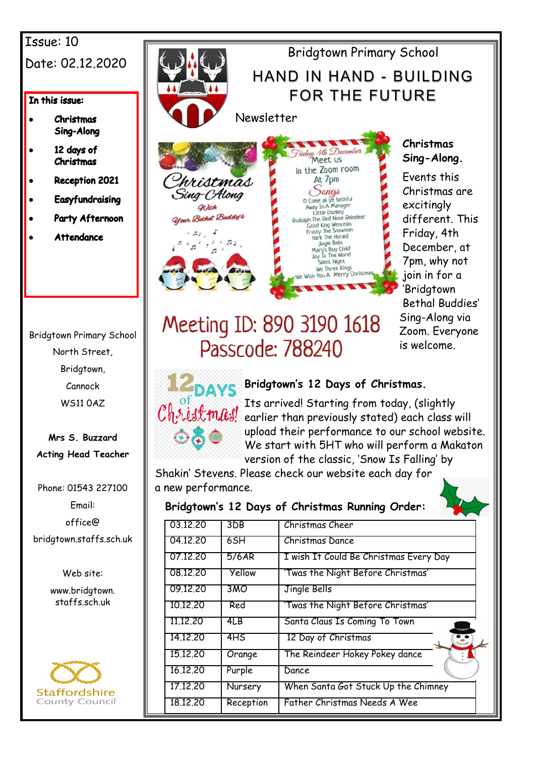## Issue: 10 Date: 02.12.2020

#### In this issue:

- **Christmas** Sing-Along
- 12 days of Christmas
- **Reception 2021**
- **Easyfundraising**
- Party Afternoon
- **Attendance**

Bridgtown Primary School North Street, Bridgtown, Cannock WS11 0AZ

**Mrs S. Buzzard Acting Head Teacher**

Phone: 01543 227100 Email: office@ bridgtown.staffs.sch.uk

Web site:

www.bridgtown. staffs.sch.uk





day 4th December in the Zoom room At 7pm AL 7 pm<br>
Carga<br>
Come ail ye faithful<br>
Away In A Manager<br>
Little Donkey<br>
Rudolph The Red Nose Reindeer<br>
Frosty The Snowman<br>
Hark The Herald<br>
Jingle Bells<br>
Mary's Boy Child<br>
Mary's Boy Child Jingie Bells<br>Mary's Boy Child<br>Joy To The World lent Night We Three Kings You A Merry Christn

## **Christmas Sing-Along.**

Events this Christmas are excitingly different. This Friday, 4th December, at 7pm, why not join in for a 'Bridgtown Bethal Buddies' Sing-Along via Zoom. Everyone is welcome.

# Meeting ID: 890 3190 1618 Passcode: 788240



## **Bridgtown's 12 Days of Christmas.**

Its arrived! Starting from today, (slightly earlier than previously stated) each class will upload their performance to our school website. We start with 5HT who will perform a Makaton version of the classic, 'Snow Is Falling' by

Shakin' Stevens. Please check our website each day for a new performance.

## **Bridgtown's 12 Days of Christmas Running Order:**